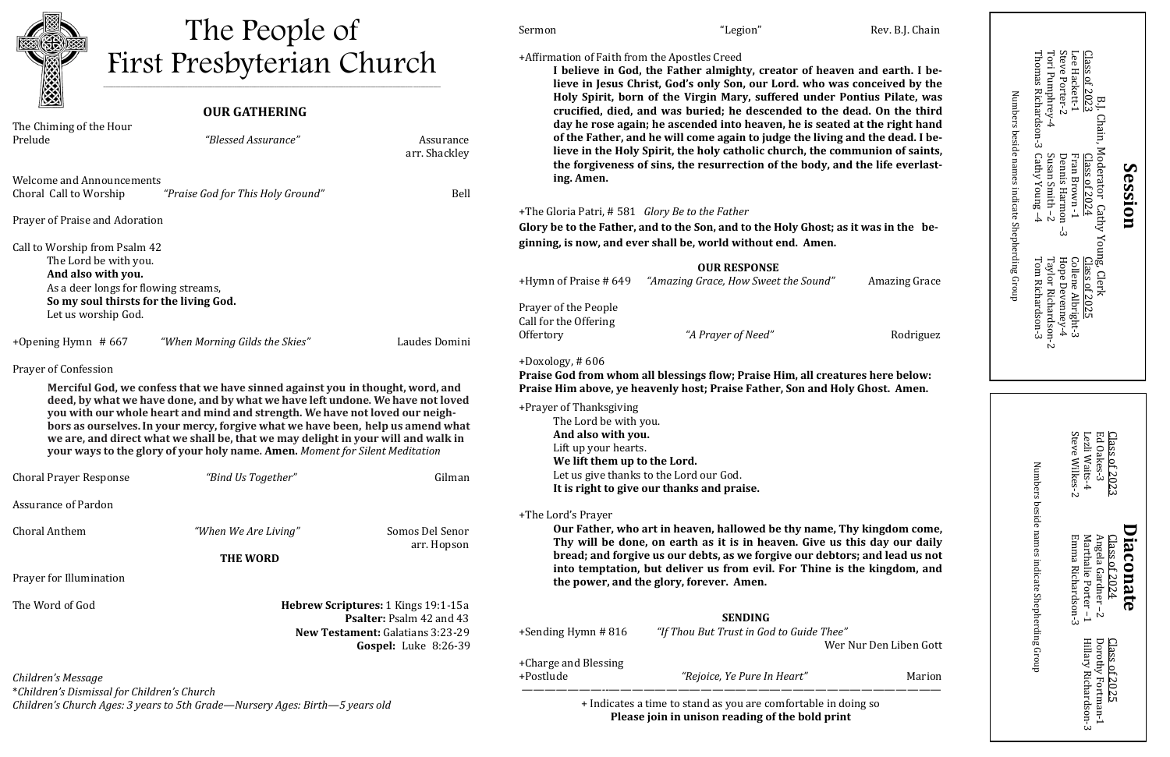#### **OUR GATHERING**

**I believe in God, the Father almighty, creator of heaven and earth. I believe in Jesus Christ, God's only Son, our Lord. who was conceived by the Holy Spirit, born of the Virgin Mary, suffered under Pontius Pilate, was crucified, died, and was buried; he descended to the dead. On the third diagraphs a** at the right hand ing and the dead. I be**communion of saints,** and the life everlast-

\**Children's Dismissal for Children's Church Children's Church Ages: 3 years to 5th Grade—Nursery Ages: Birth—5 years old*

| Rev. B.J. Chain |
|-----------------|
| "Legion"        |

+Affirmation of Faith from the Apostles Creed

| The Chiming of the Hour<br>Prelude                                                                                                                                                                                                                                                                                                                                                                                                                                                                       | "Blessed Assurance"               | Assurance<br>arr. Shackley                                                                                                            | day he rose again; he ascended into heaven, he is seated at the right hand<br>of the Father, and he will come again to judge the living and the dead. I be-<br>lieve in the Holy Spirit, the holy catholic church, the communion of saints,<br>the forgiveness of sins, the resurrection of the body, and the life everlast- |                                                                                                                      |                        |
|----------------------------------------------------------------------------------------------------------------------------------------------------------------------------------------------------------------------------------------------------------------------------------------------------------------------------------------------------------------------------------------------------------------------------------------------------------------------------------------------------------|-----------------------------------|---------------------------------------------------------------------------------------------------------------------------------------|------------------------------------------------------------------------------------------------------------------------------------------------------------------------------------------------------------------------------------------------------------------------------------------------------------------------------|----------------------------------------------------------------------------------------------------------------------|------------------------|
| <b>Welcome and Announcements</b><br>Choral Call to Worship                                                                                                                                                                                                                                                                                                                                                                                                                                               | "Praise God for This Holy Ground" | Bell                                                                                                                                  | ing. Amen.                                                                                                                                                                                                                                                                                                                   |                                                                                                                      |                        |
|                                                                                                                                                                                                                                                                                                                                                                                                                                                                                                          |                                   |                                                                                                                                       |                                                                                                                                                                                                                                                                                                                              |                                                                                                                      |                        |
| Prayer of Praise and Adoration                                                                                                                                                                                                                                                                                                                                                                                                                                                                           |                                   | +The Gloria Patri, #581 Glory Be to the Father<br>Glory be to the Father, and to the Son, and to the Holy Ghost; as it was in the be- |                                                                                                                                                                                                                                                                                                                              |                                                                                                                      |                        |
|                                                                                                                                                                                                                                                                                                                                                                                                                                                                                                          |                                   |                                                                                                                                       | ginning, is now, and ever shall be, world without end. Amen.                                                                                                                                                                                                                                                                 |                                                                                                                      |                        |
| Call to Worship from Psalm 42<br>The Lord be with you.                                                                                                                                                                                                                                                                                                                                                                                                                                                   |                                   |                                                                                                                                       |                                                                                                                                                                                                                                                                                                                              |                                                                                                                      |                        |
| And also with you.<br>As a deer longs for flowing streams,                                                                                                                                                                                                                                                                                                                                                                                                                                               |                                   |                                                                                                                                       | +Hymn of Praise # 649                                                                                                                                                                                                                                                                                                        | <b>OUR RESPONSE</b><br>"Amazing Grace, How Sweet the Sound"                                                          | <b>Amazing Grace</b>   |
| So my soul thirsts for the living God.                                                                                                                                                                                                                                                                                                                                                                                                                                                                   |                                   |                                                                                                                                       |                                                                                                                                                                                                                                                                                                                              |                                                                                                                      |                        |
| Let us worship God.                                                                                                                                                                                                                                                                                                                                                                                                                                                                                      |                                   |                                                                                                                                       | Prayer of the People<br>Call for the Offering                                                                                                                                                                                                                                                                                |                                                                                                                      |                        |
| +Opening Hymn $#667$                                                                                                                                                                                                                                                                                                                                                                                                                                                                                     | "When Morning Gilds the Skies"    | Laudes Domini                                                                                                                         | Offertory                                                                                                                                                                                                                                                                                                                    | "A Prayer of Need"                                                                                                   | Rodriguez              |
| Prayer of Confession                                                                                                                                                                                                                                                                                                                                                                                                                                                                                     |                                   |                                                                                                                                       | $+$ Doxology, #606                                                                                                                                                                                                                                                                                                           | Praise God from whom all blessings flow; Praise Him, all creatures here below:                                       |                        |
| Merciful God, we confess that we have sinned against you in thought, word, and<br>deed, by what we have done, and by what we have left undone. We have not loved<br>you with our whole heart and mind and strength. We have not loved our neigh-<br>bors as ourselves. In your mercy, forgive what we have been, help us amend what<br>we are, and direct what we shall be, that we may delight in your will and walk in<br>your ways to the glory of your holy name. Amen. Moment for Silent Meditation |                                   |                                                                                                                                       | Praise Him above, ye heavenly host; Praise Father, Son and Holy Ghost. Amen.                                                                                                                                                                                                                                                 |                                                                                                                      |                        |
|                                                                                                                                                                                                                                                                                                                                                                                                                                                                                                          |                                   |                                                                                                                                       | +Prayer of Thanksgiving<br>The Lord be with you.<br>And also with you.                                                                                                                                                                                                                                                       |                                                                                                                      |                        |
|                                                                                                                                                                                                                                                                                                                                                                                                                                                                                                          |                                   |                                                                                                                                       | Lift up your hearts.                                                                                                                                                                                                                                                                                                         |                                                                                                                      |                        |
| <b>Choral Prayer Response</b>                                                                                                                                                                                                                                                                                                                                                                                                                                                                            | "Bind Us Together"                | Gilman                                                                                                                                | We lift them up to the Lord.<br>Let us give thanks to the Lord our God.<br>It is right to give our thanks and praise.                                                                                                                                                                                                        |                                                                                                                      |                        |
| <b>Assurance of Pardon</b>                                                                                                                                                                                                                                                                                                                                                                                                                                                                               |                                   |                                                                                                                                       |                                                                                                                                                                                                                                                                                                                              |                                                                                                                      |                        |
|                                                                                                                                                                                                                                                                                                                                                                                                                                                                                                          |                                   |                                                                                                                                       | +The Lord's Prayer                                                                                                                                                                                                                                                                                                           |                                                                                                                      |                        |
| <b>Choral Anthem</b>                                                                                                                                                                                                                                                                                                                                                                                                                                                                                     | "When We Are Living"              | Somos Del Senor                                                                                                                       | Our Father, who art in heaven, hallowed be thy name, Thy kingdom come,<br>Thy will be done, on earth as it is in heaven. Give us this day our daily                                                                                                                                                                          |                                                                                                                      |                        |
|                                                                                                                                                                                                                                                                                                                                                                                                                                                                                                          | arr. Hopson<br><b>THE WORD</b>    |                                                                                                                                       | bread; and forgive us our debts, as we forgive our debtors; and lead us not                                                                                                                                                                                                                                                  |                                                                                                                      |                        |
| Prayer for Illumination                                                                                                                                                                                                                                                                                                                                                                                                                                                                                  |                                   |                                                                                                                                       |                                                                                                                                                                                                                                                                                                                              | into temptation, but deliver us from evil. For Thine is the kingdom, and<br>the power, and the glory, forever. Amen. |                        |
| The Word of God                                                                                                                                                                                                                                                                                                                                                                                                                                                                                          |                                   | Hebrew Scriptures: 1 Kings 19:1-15a                                                                                                   |                                                                                                                                                                                                                                                                                                                              |                                                                                                                      |                        |
|                                                                                                                                                                                                                                                                                                                                                                                                                                                                                                          | Psalter: Psalm 42 and 43          |                                                                                                                                       |                                                                                                                                                                                                                                                                                                                              | <b>SENDING</b>                                                                                                       |                        |
|                                                                                                                                                                                                                                                                                                                                                                                                                                                                                                          |                                   | New Testament: Galatians 3:23-29<br>Gospel: Luke 8:26-39                                                                              | +Sending Hymn #816                                                                                                                                                                                                                                                                                                           | "If Thou But Trust in God to Guide Thee"                                                                             | Wer Nur Den Liben Gott |
| Children's Message                                                                                                                                                                                                                                                                                                                                                                                                                                                                                       |                                   |                                                                                                                                       | +Charge and Blessing<br>+Postlude                                                                                                                                                                                                                                                                                            | "Rejoice, Ye Pure In Heart"                                                                                          | Marion                 |
| *Children's Dismissal for Children's Church                                                                                                                                                                                                                                                                                                                                                                                                                                                              |                                   |                                                                                                                                       |                                                                                                                                                                                                                                                                                                                              |                                                                                                                      |                        |

**Diaconate** Diaconate

Emma RichardsonMarthalie Porter Angela Gardner Class of 2024 Marthalie Gal Porter –  $\overline{\phantom{0}}$  $\overline{c}$  $\dot{\omega}$ 

Numbers beside names indicate Shepherding Group Numbers beside names indicate Shepherding Group

+ Indicates a time to stand as you are comfortable in doing so **Please join in unison reading of the bold print**



# The People of First Presbyterian Church \_\_\_\_\_\_\_\_\_\_\_\_\_\_\_\_\_\_\_\_\_\_\_\_\_\_\_\_\_\_\_\_\_\_\_\_\_\_\_\_\_\_\_\_\_\_\_\_\_\_\_\_\_\_\_\_\_\_\_\_\_\_\_\_\_\_\_\_\_\_\_\_\_\_\_\_\_\_\_\_\_\_\_\_\_\_\_\_\_\_\_\_\_\_\_\_\_\_\_\_\_\_\_\_\_\_\_\_\_\_\_\_\_\_\_\_\_\_\_\_\_\_\_\_\_\_\_\_\_\_\_\_\_\_\_\_

Steve Steve WilkesLezli WaitsEd OakesClass of 2023 2023 س -4  $\sim$ 

> Class of 2025 Dorothy Fortmanبا<br>بہ Hillary Richardson